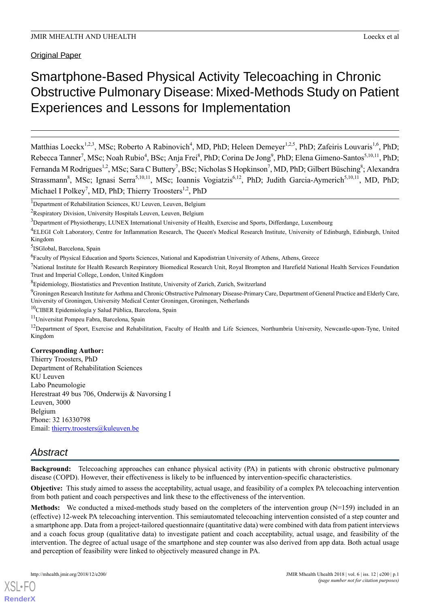# Smartphone-Based Physical Activity Telecoaching in Chronic Obstructive Pulmonary Disease: Mixed-Methods Study on Patient Experiences and Lessons for Implementation

Matthias Loeckx<sup>1,2,3</sup>, MSc; Roberto A Rabinovich<sup>4</sup>, MD, PhD; Heleen Demeyer<sup>1,2,5</sup>, PhD; Zafeiris Louvaris<sup>1,6</sup>, PhD; Rebecca Tanner<sup>7</sup>, MSc; Noah Rubio<sup>4</sup>, BSc; Anja Frei<sup>8</sup>, PhD; Corina De Jong<sup>9</sup>, PhD; Elena Gimeno-Santos<sup>5,10,11</sup>, PhD; Fernanda M Rodrigues<sup>1,2</sup>, MSc; Sara C Buttery<sup>7</sup>, BSc; Nicholas S Hopkinson<sup>7</sup>, MD, PhD; Gilbert Büsching<sup>8</sup>; Alexandra Strassmann<sup>8</sup>, MSc; Ignasi Serra<sup>5,10,11</sup>, MSc; Ioannis Vogiatzis<sup>6,12</sup>, PhD; Judith Garcia-Aymerich<sup>5,10,11</sup>, MD, PhD; Michael I Polkey<sup>7</sup>, MD, PhD; Thierry Troosters<sup>1,2</sup>, PhD

<sup>1</sup>Department of Rehabilitation Sciences, KU Leuven, Leuven, Belgium

<sup>5</sup>ISGlobal, Barcelona, Spain

<sup>6</sup> Faculty of Physical Education and Sports Sciences, National and Kapodistrian University of Athens, Athens, Greece

<sup>7</sup>National Institute for Health Research Respiratory Biomedical Research Unit, Royal Brompton and Harefield National Health Services Foundation Trust and Imperial College, London, United Kingdom

<sup>8</sup>Epidemiology, Biostatistics and Prevention Institute, University of Zurich, Zurich, Switzerland

<sup>9</sup>Groningen Research Institute for Asthma and Chronic Obstructive Pulmonary Disease-Primary Care, Department of General Practice and Elderly Care, University of Groningen, University Medical Center Groningen, Groningen, Netherlands

<sup>10</sup>CIBER Epidemiología y Salud Pública, Barcelona, Spain

<sup>11</sup>Universitat Pompeu Fabra, Barcelona, Spain

<sup>12</sup>Department of Sport, Exercise and Rehabilitation, Faculty of Health and Life Sciences, Northumbria University, Newcastle-upon-Tyne, United Kingdom

# **Corresponding Author:**

Thierry Troosters, PhD Department of Rehabilitation Sciences KU Leuven Labo Pneumologie Herestraat 49 bus 706, Onderwijs & Navorsing I Leuven, 3000 Belgium Phone: 32 16330798 Email: [thierry.troosters@kuleuven.be](mailto:thierry.troosters@kuleuven.be)

# *Abstract*

**Background:** Telecoaching approaches can enhance physical activity (PA) in patients with chronic obstructive pulmonary disease (COPD). However, their effectiveness is likely to be influenced by intervention-specific characteristics.

**Objective:** This study aimed to assess the acceptability, actual usage, and feasibility of a complex PA telecoaching intervention from both patient and coach perspectives and link these to the effectiveness of the intervention.

**Methods:** We conducted a mixed-methods study based on the completers of the intervention group (N=159) included in an (effective) 12-week PA telecoaching intervention. This semiautomated telecoaching intervention consisted of a step counter and a smartphone app. Data from a project-tailored questionnaire (quantitative data) were combined with data from patient interviews and a coach focus group (qualitative data) to investigate patient and coach acceptability, actual usage, and feasibility of the intervention. The degree of actual usage of the smartphone and step counter was also derived from app data. Both actual usage and perception of feasibility were linked to objectively measured change in PA.

<sup>2</sup>Respiratory Division, University Hospitals Leuven, Leuven, Belgium

<sup>&</sup>lt;sup>3</sup>Department of Physiotherapy, LUNEX International University of Health, Exercise and Sports, Differdange, Luxembourg

<sup>4</sup>ELEGI Colt Laboratory, Centre for Inflammation Research, The Queen's Medical Research Institute, University of Edinburgh, Edinburgh, United Kingdom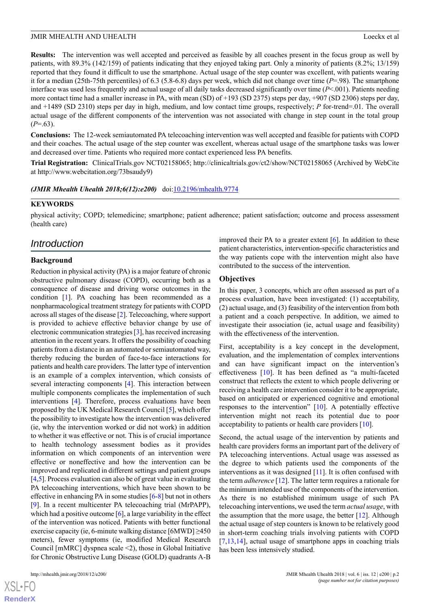**Results:** The intervention was well accepted and perceived as feasible by all coaches present in the focus group as well by patients, with 89.3% (142/159) of patients indicating that they enjoyed taking part. Only a minority of patients (8.2%; 13/159) reported that they found it difficult to use the smartphone. Actual usage of the step counter was excellent, with patients wearing it for a median (25th-75th percentiles) of 6.3 (5.8-6.8) days per week, which did not change over time (*P*=.98). The smartphone interface was used less frequently and actual usage of all daily tasks decreased significantly over time (*P*<.001). Patients needing more contact time had a smaller increase in PA, with mean (SD) of +193 (SD 2375) steps per day, +907 (SD 2306) steps per day, and +1489 (SD 2310) steps per day in high, medium, and low contact time groups, respectively; *P* for-trend=.01. The overall actual usage of the different components of the intervention was not associated with change in step count in the total group  $(P=0.63)$ .

**Conclusions:** The 12-week semiautomated PA telecoaching intervention was well accepted and feasible for patients with COPD and their coaches. The actual usage of the step counter was excellent, whereas actual usage of the smartphone tasks was lower and decreased over time. Patients who required more contact experienced less PA benefits.

**Trial Registration:** ClinicalTrials.gov NCT02158065; http://clinicaltrials.gov/ct2/show/NCT02158065 (Archived by WebCite at http://www.webcitation.org/73bsaudy9)

*(JMIR Mhealth Uhealth 2018;6(12):e200)* doi[:10.2196/mhealth.9774](http://dx.doi.org/10.2196/mhealth.9774)

### **KEYWORDS**

physical activity; COPD; telemedicine; smartphone; patient adherence; patient satisfaction; outcome and process assessment (health care)

# *Introduction*

### **Background**

Reduction in physical activity (PA) is a major feature of chronic obstructive pulmonary disease (COPD), occurring both as a consequence of disease and driving worse outcomes in the condition [[1\]](#page-15-0). PA coaching has been recommended as a nonpharmacological treatment strategy for patients with COPD across all stages of the disease [[2\]](#page-16-0). Telecoaching, where support is provided to achieve effective behavior change by use of electronic communication strategies [\[3](#page-16-1)], has received increasing attention in the recent years. It offers the possibility of coaching patients from a distance in an automated or semiautomated way, thereby reducing the burden of face-to-face interactions for patients and health care providers. The latter type of intervention is an example of a complex intervention, which consists of several interacting components [\[4](#page-16-2)]. This interaction between multiple components complicates the implementation of such interventions [[4\]](#page-16-2). Therefore, process evaluations have been proposed by the UK Medical Research Council [\[5](#page-16-3)], which offer the possibility to investigate how the intervention was delivered (ie, why the intervention worked or did not work) in addition to whether it was effective or not. This is of crucial importance to health technology assessment bodies as it provides information on which components of an intervention were effective or noneffective and how the intervention can be improved and replicated in different settings and patient groups [[4,](#page-16-2)[5](#page-16-3)]. Process evaluation can also be of great value in evaluating PA telecoaching interventions, which have been shown to be effective in enhancing PA in some studies [\[6](#page-16-4)[-8](#page-16-5)] but not in others [[9\]](#page-16-6). In a recent multicenter PA telecoaching trial (MrPAPP), which had a positive outcome  $[6]$  $[6]$ , a large variability in the effect of the intervention was noticed. Patients with better functional exercise capacity (ie, 6-minute walking distance [6MWD] ≥450 meters), fewer symptoms (ie, modified Medical Research Council [mMRC] dyspnea scale <2), those in Global Initiative for Chronic Obstructive Lung Disease (GOLD) quadrants A-B

 $XSI - F($ **[RenderX](http://www.renderx.com/)** improved their PA to a greater extent [[6\]](#page-16-4). In addition to these patient characteristics, intervention-specific characteristics and the way patients cope with the intervention might also have contributed to the success of the intervention.

# **Objectives**

In this paper, 3 concepts, which are often assessed as part of a process evaluation, have been investigated: (1) acceptability, (2) actual usage, and (3) feasibility of the intervention from both a patient and a coach perspective. In addition, we aimed to investigate their association (ie, actual usage and feasibility) with the effectiveness of the intervention.

First, acceptability is a key concept in the development, evaluation, and the implementation of complex interventions and can have significant impact on the intervention's effectiveness [[10\]](#page-16-7). It has been defined as "a multi-faceted construct that reflects the extent to which people delivering or receiving a health care intervention consider it to be appropriate, based on anticipated or experienced cognitive and emotional responses to the intervention" [[10\]](#page-16-7). A potentially effective intervention might not reach its potential due to poor acceptability to patients or health care providers [\[10](#page-16-7)].

Second, the actual usage of the intervention by patients and health care providers forms an important part of the delivery of PA telecoaching interventions. Actual usage was assessed as the degree to which patients used the components of the interventions as it was designed [\[11\]](#page-16-8). It is often confused with the term *adherence* [[12\]](#page-16-9). The latter term requires a rationale for the minimum intended use of the components of the intervention. As there is no established minimum usage of such PA telecoaching interventions, we used the term *actual usage*, with the assumption that the more usage, the better  $[12]$  $[12]$ . Although the actual usage of step counters is known to be relatively good in short-term coaching trials involving patients with COPD [[7](#page-16-10)[,13](#page-16-11),[14\]](#page-16-12), actual usage of smartphone apps in coaching trials has been less intensively studied.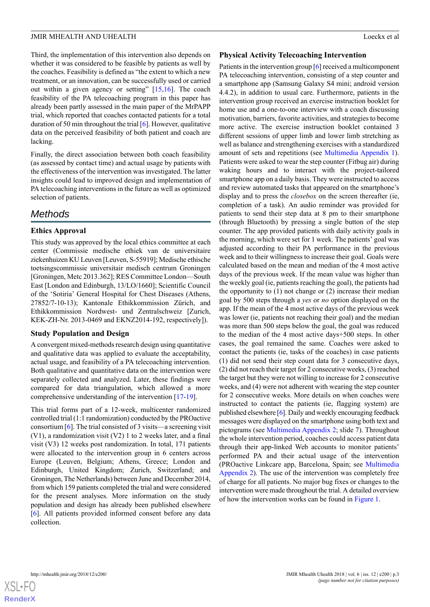Third, the implementation of this intervention also depends on whether it was considered to be feasible by patients as well by the coaches. Feasibility is defined as "the extent to which a new treatment, or an innovation, can be successfully used or carried out within a given agency or setting" [\[15](#page-16-13),[16\]](#page-16-14). The coach feasibility of the PA telecoaching program in this paper has already been partly assessed in the main paper of the MrPAPP trial, which reported that coaches contacted patients for a total duration of 50 min throughout the trial [\[6](#page-16-4)]. However, qualitative data on the perceived feasibility of both patient and coach are lacking.

Finally, the direct association between both coach feasibility (as assessed by contact time) and actual usage by patients with the effectiveness of the intervention was investigated. The latter insights could lead to improved design and implementation of PA telecoaching interventions in the future as well as optimized selection of patients.

# *Methods*

# **Ethics Approval**

This study was approved by the local ethics committee at each center (Commissie medische ethiek van de universitaire ziekenhuizen KU Leuven [Leuven, S-55919]; Medische ethische toetsingscommissie universitair medisch centrum Groningen [Groningen, Metc 2013.362]; RES Committee London—South East [London and Edinburgh, 13/LO/1660]; Scientific Council of the 'Sotiria' General Hospital for Chest Diseases (Athens, 27852/7-10-13); Kantonale Ethikkommission Zürich, and Ethikkommission Nordwest- und Zentralschweiz [Zurich, KEK-ZH-Nr. 2013-0469 and EKNZ2014-192, respectively]).

# **Study Population and Design**

A convergent mixed-methods research design using quantitative and qualitative data was applied to evaluate the acceptability, actual usage, and feasibility of a PA telecoaching intervention. Both qualitative and quantitative data on the intervention were separately collected and analyzed. Later, these findings were compared for data triangulation, which allowed a more comprehensive understanding of the intervention [\[17](#page-16-15)-[19\]](#page-16-16).

This trial forms part of a 12-week, multicenter randomized controlled trial (1:1 randomization) conducted by the PROactive consortium [[6\]](#page-16-4). The trial consisted of 3 visits—a screening visit (V1), a randomization visit (V2) 1 to 2 weeks later, and a final visit (V3) 12 weeks post randomization. In total, 171 patients were allocated to the intervention group in 6 centers across Europe (Leuven, Belgium; Athens, Greece; London and Edinburgh, United Kingdom; Zurich, Switzerland; and Groningen, The Netherlands) between June and December 2014, from which 159 patients completed the trial and were considered for the present analyses. More information on the study population and design has already been published elsewhere [[6\]](#page-16-4). All patients provided informed consent before any data collection.

# **Physical Activity Telecoaching Intervention**

Patients in the intervention group [\[6\]](#page-16-4) received a multicomponent PA telecoaching intervention, consisting of a step counter and a smartphone app (Samsung Galaxy S4 mini; android version 4.4.2), in addition to usual care. Furthermore, patients in the intervention group received an exercise instruction booklet for home use and a one-to-one interview with a coach discussing motivation, barriers, favorite activities, and strategies to become more active. The exercise instruction booklet contained 3 different sessions of upper limb and lower limb stretching as well as balance and strengthening exercises with a standardized amount of sets and repetitions (see [Multimedia Appendix 1\)](#page-15-1). Patients were asked to wear the step counter (Fitbug air) during waking hours and to interact with the project-tailored smartphone app on a daily basis. They were instructed to access and review automated tasks that appeared on the smartphone's display and to press the *closebox* on the screen thereafter (ie, completion of a task). An audio reminder was provided for patients to send their step data at 8 pm to their smartphone (through Bluetooth) by pressing a single button of the step counter. The app provided patients with daily activity goals in the morning, which were set for 1 week. The patients' goal was adjusted according to their PA performance in the previous week and to their willingness to increase their goal. Goals were calculated based on the mean and median of the 4 most active days of the previous week. If the mean value was higher than the weekly goal (ie, patients reaching the goal), the patients had the opportunity to  $(1)$  not change or  $(2)$  increase their median goal by 500 steps through a *yes* or *no* option displayed on the app. If the mean of the 4 most active days of the previous week was lower (ie, patients not reaching their goal) and the median was more than 500 steps below the goal, the goal was reduced to the median of the 4 most active days+500 steps. In other cases, the goal remained the same. Coaches were asked to contact the patients (ie, tasks of the coaches) in case patients (1) did not send their step count data for 3 consecutive days, (2) did not reach their target for 2 consecutive weeks, (3) reached the target but they were not willing to increase for 2 consecutive weeks, and (4) were not adherent with wearing the step counter for 2 consecutive weeks. More details on when coaches were instructed to contact the patients (ie, flagging system) are published elsewhere [[6\]](#page-16-4). Daily and weekly encouraging feedback messages were displayed on the smartphone using both text and pictograms (see [Multimedia Appendix 2](#page-15-2); slide 7). Throughout the whole intervention period, coaches could access patient data through their app-linked Web accounts to monitor patients' performed PA and their actual usage of the intervention (PROactive Linkcare app, Barcelona, Spain; see [Multimedia](#page-15-2) [Appendix 2\)](#page-15-2). The use of the intervention was completely free of charge for all patients. No major bug fixes or changes to the intervention were made throughout the trial. A detailed overview of how the intervention works can be found in [Figure 1.](#page-3-0)

 $XS$  • FC **[RenderX](http://www.renderx.com/)**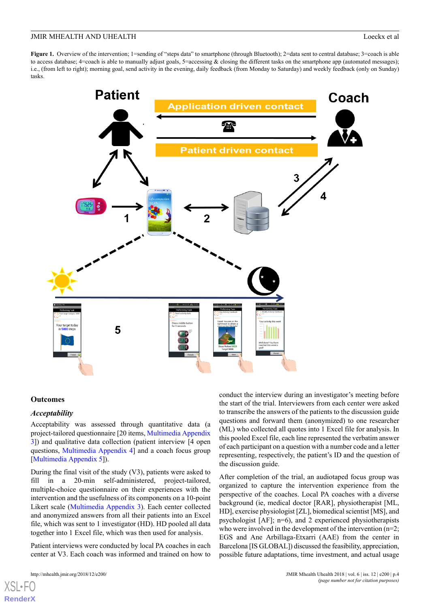<span id="page-3-0"></span>**Figure 1.** Overview of the intervention; 1=sending of "steps data" to smartphone (through Bluetooth); 2=data sent to central database; 3=coach is able to access database; 4=coach is able to manually adjust goals, 5=accessing & closing the different tasks on the smartphone app (automated messages); i.e., (from left to right); morning goal, send activity in the evening, daily feedback (from Monday to Saturday) and weekly feedback (only on Sunday) tasks.



### **Outcomes**

### *Acceptability*

Acceptability was assessed through quantitative data (a project-tailored questionnaire [20 items, [Multimedia Appendix](#page-15-3) [3\]](#page-15-3)) and qualitative data collection (patient interview [4 open questions, [Multimedia Appendix 4](#page-15-4)] and a coach focus group [[Multimedia Appendix 5\]](#page-15-5)).

During the final visit of the study (V3), patients were asked to fill in a 20-min self-administered, project-tailored, multiple-choice questionnaire on their experiences with the intervention and the usefulness of its components on a 10-point Likert scale [\(Multimedia Appendix 3](#page-15-3)). Each center collected and anonymized answers from all their patients into an Excel file, which was sent to 1 investigator (HD). HD pooled all data together into 1 Excel file, which was then used for analysis.

Patient interviews were conducted by local PA coaches in each center at V3. Each coach was informed and trained on how to

[XSL](http://www.w3.org/Style/XSL)•FO **[RenderX](http://www.renderx.com/)**

conduct the interview during an investigator's meeting before the start of the trial. Interviewers from each center were asked to transcribe the answers of the patients to the discussion guide questions and forward them (anonymized) to one researcher (ML) who collected all quotes into 1 Excel file for analysis. In this pooled Excel file, each line represented the verbatim answer of each participant on a question with a number code and a letter representing, respectively, the patient's ID and the question of the discussion guide.

After completion of the trial, an audiotaped focus group was organized to capture the intervention experience from the perspective of the coaches. Local PA coaches with a diverse background (ie, medical doctor [RAR], physiotherapist [ML, HD], exercise physiologist [ZL], biomedical scientist [MS], and psychologist [AF]; n=6), and 2 experienced physiotherapists who were involved in the development of the intervention (n=2; EGS and Ane Arbillaga-Etxarri (AAE) from the center in Barcelona [IS GLOBAL]) discussed the feasibility, appreciation, possible future adaptations, time investment, and actual usage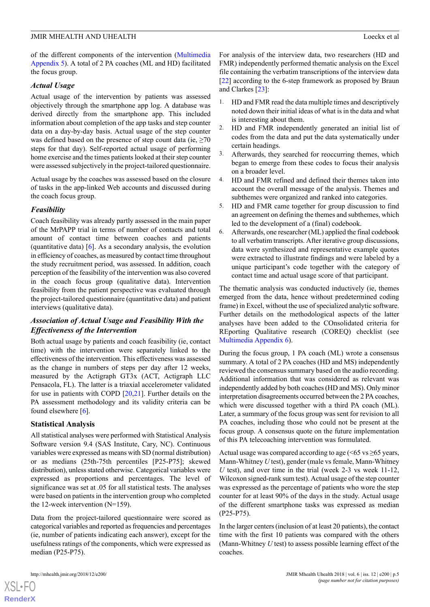of the different components of the intervention [\(Multimedia](#page-15-5) [Appendix 5](#page-15-5)). A total of 2 PA coaches (ML and HD) facilitated the focus group.

### *Actual Usage*

Actual usage of the intervention by patients was assessed objectively through the smartphone app log. A database was derived directly from the smartphone app. This included information about completion of the app tasks and step counter data on a day-by-day basis. Actual usage of the step counter was defined based on the presence of step count data (ie,  $\geq 70$ ) steps for that day). Self-reported actual usage of performing home exercise and the times patients looked at their step counter were assessed subjectively in the project-tailored questionnaire.

Actual usage by the coaches was assessed based on the closure of tasks in the app-linked Web accounts and discussed during the coach focus group.

### *Feasibility*

Coach feasibility was already partly assessed in the main paper of the MrPAPP trial in terms of number of contacts and total amount of contact time between coaches and patients (quantitative data) [\[6](#page-16-4)]. As a secondary analysis, the evolution in efficiency of coaches, as measured by contact time throughout the study recruitment period, was assessed. In addition, coach perception of the feasibility of the intervention was also covered in the coach focus group (qualitative data). Intervention feasibility from the patient perspective was evaluated through the project-tailored questionnaire (quantitative data) and patient interviews (qualitative data).

# *Association of Actual Usage and Feasibility With the Effectiveness of the Intervention*

Both actual usage by patients and coach feasibility (ie, contact time) with the intervention were separately linked to the effectiveness of the intervention. This effectiveness was assessed as the change in numbers of steps per day after 12 weeks, measured by the Actigraph GT3x (ACT, Actigraph LLC Pensacola, FL). The latter is a triaxial accelerometer validated for use in patients with COPD [\[20](#page-16-17),[21\]](#page-16-18). Further details on the PA assessment methodology and its validity criteria can be found elsewhere  $[6]$  $[6]$ .

### **Statistical Analysis**

All statistical analyses were performed with Statistical Analysis Software version 9.4 (SAS Institute, Cary, NC). Continuous variables were expressed as means with SD (normal distribution) or as medians (25th-75th percentiles [P25-P75]; skewed distribution), unless stated otherwise. Categorical variables were expressed as proportions and percentages. The level of significance was set at .05 for all statistical tests. The analyses were based on patients in the intervention group who completed the 12-week intervention (N=159).

Data from the project-tailored questionnaire were scored as categorical variables and reported as frequencies and percentages (ie, number of patients indicating each answer), except for the usefulness ratings of the components, which were expressed as median (P25-P75).

 $XS$  $\cdot$ FC **[RenderX](http://www.renderx.com/)** For analysis of the interview data, two researchers (HD and FMR) independently performed thematic analysis on the Excel file containing the verbatim transcriptions of the interview data [[22\]](#page-16-19) according to the 6-step framework as proposed by Braun and Clarkes [[23\]](#page-16-20):

- 1. HD and FMR read the data multiple times and descriptively noted down their initial ideas of what is in the data and what is interesting about them.
- 2. HD and FMR independently generated an initial list of codes from the data and put the data systematically under certain headings.
- 3. Afterwards, they searched for reoccurring themes, which began to emerge from these codes to focus their analysis on a broader level.
- 4. HD and FMR refined and defined their themes taken into account the overall message of the analysis. Themes and subthemes were organized and ranked into categories.
- 5. HD and FMR came together for group discussion to find an agreement on defining the themes and subthemes, which led to the development of a (final) codebook.
- 6. Afterwards, one researcher (ML) applied the final codebook to all verbatim transcripts. After iterative group discussions, data were synthesized and representative example quotes were extracted to illustrate findings and were labeled by a unique participant's code together with the category of contact time and actual usage score of that participant.

The thematic analysis was conducted inductively (ie, themes emerged from the data, hence without predetermined coding frame) in Excel, without the use of specialized analytic software. Further details on the methodological aspects of the latter analyses have been added to the COnsolidated criteria for REporting Qualitative research (COREQ) checklist (see [Multimedia Appendix 6\)](#page-15-6).

During the focus group, 1 PA coach (ML) wrote a consensus summary. A total of 2 PA coaches (HD and MS) independently reviewed the consensus summary based on the audio recording. Additional information that was considered as relevant was independently added by both coaches (HD and MS). Only minor interpretation disagreements occurred between the 2 PA coaches, which were discussed together with a third PA coach (ML). Later, a summary of the focus group was sent for revision to all PA coaches, including those who could not be present at the focus group. A consensus quote on the future implementation of this PA telecoaching intervention was formulated.

Actual usage was compared according to age  $(< 65 \text{ vs } \geq 65 \text{ years})$ , Mann-Whitney *U* test), gender (male vs female, Mann-Whitney *U* test), and over time in the trial (week 2-3 vs week 11-12, Wilcoxon signed-rank sum test). Actual usage of the step counter was expressed as the percentage of patients who wore the step counter for at least 90% of the days in the study. Actual usage of the different smartphone tasks was expressed as median (P25-P75).

In the larger centers (inclusion of at least 20 patients), the contact time with the first 10 patients was compared with the others (Mann-Whitney *U* test) to assess possible learning effect of the coaches.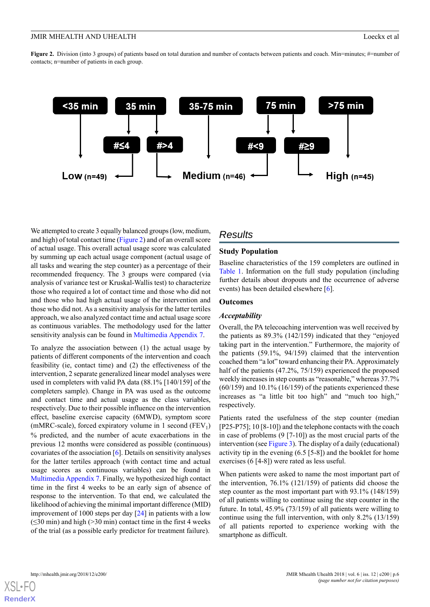<span id="page-5-0"></span>**Figure 2.** Division (into 3 groups) of patients based on total duration and number of contacts between patients and coach. Min=minutes; #=number of contacts; n=number of patients in each group.



We attempted to create 3 equally balanced groups (low, medium, and high) of total contact time [\(Figure 2\)](#page-5-0) and of an overall score of actual usage. This overall actual usage score was calculated by summing up each actual usage component (actual usage of all tasks and wearing the step counter) as a percentage of their recommended frequency. The 3 groups were compared (via analysis of variance test or Kruskal-Wallis test) to characterize those who required a lot of contact time and those who did not and those who had high actual usage of the intervention and those who did not. As a sensitivity analysis for the latter tertiles approach, we also analyzed contact time and actual usage score as continuous variables. The methodology used for the latter sensitivity analysis can be found in [Multimedia Appendix 7](#page-15-7).

To analyze the association between (1) the actual usage by patients of different components of the intervention and coach feasibility (ie, contact time) and (2) the effectiveness of the intervention, 2 separate generalized linear model analyses were used in completers with valid PA data (88.1% [140/159] of the completers sample). Change in PA was used as the outcome and contact time and actual usage as the class variables, respectively. Due to their possible influence on the intervention effect, baseline exercise capacity (6MWD), symptom score (mMRC-scale), forced expiratory volume in 1 second  $(FEV_1)$ % predicted, and the number of acute exacerbations in the previous 12 months were considered as possible (continuous) covariates of the association [\[6](#page-16-4)]. Details on sensitivity analyses for the latter tertiles approach (with contact time and actual usage scores as continuous variables) can be found in [Multimedia Appendix 7.](#page-15-7) Finally, we hypothesized high contact time in the first 4 weeks to be an early sign of absence of response to the intervention. To that end, we calculated the likelihood of achieving the minimal important difference (MID) improvement of 1000 steps per day [[24\]](#page-17-0) in patients with a low  $(\leq 30 \text{ min})$  and high (>30 min) contact time in the first 4 weeks of the trial (as a possible early predictor for treatment failure).

# *Results*

# **Study Population**

Baseline characteristics of the 159 completers are outlined in [Table 1](#page-6-0). Information on the full study population (including further details about dropouts and the occurrence of adverse events) has been detailed elsewhere [\[6](#page-16-4)].

### **Outcomes**

### *Acceptability*

Overall, the PA telecoaching intervention was well received by the patients as 89.3% (142/159) indicated that they "enjoyed taking part in the intervention." Furthermore, the majority of the patients (59.1%, 94/159) claimed that the intervention coached them "a lot" toward enhancing their PA. Approximately half of the patients (47.2%, 75/159) experienced the proposed weekly increases in step counts as "reasonable," whereas 37.7%  $(60/159)$  and 10.1%  $(16/159)$  of the patients experienced these increases as "a little bit too high" and "much too high," respectively.

Patients rated the usefulness of the step counter (median [P25-P75]; 10 [8-10]) and the telephone contacts with the coach in case of problems (9 [7-10]) as the most crucial parts of the intervention (see [Figure 3](#page-6-1)). The display of a daily (educational) activity tip in the evening (6.5 [5-8]) and the booklet for home exercises (6 [4-8]) were rated as less useful.

When patients were asked to name the most important part of the intervention, 76.1% (121/159) of patients did choose the step counter as the most important part with 93.1% (148/159) of all patients willing to continue using the step counter in the future. In total, 45.9% (73/159) of all patients were willing to continue using the full intervention, with only 8.2% (13/159) of all patients reported to experience working with the smartphone as difficult.

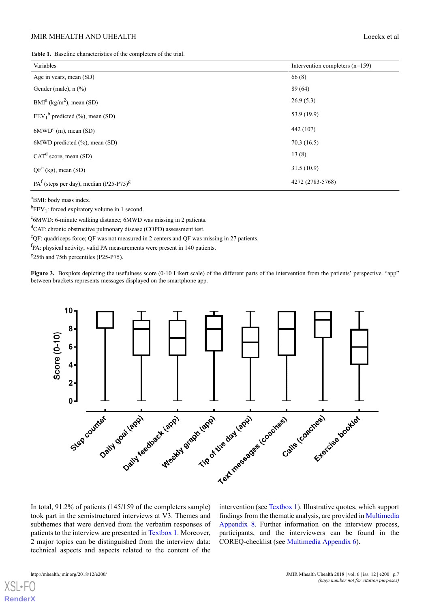<span id="page-6-0"></span>**Table 1.** Baseline characteristics of the completers of the trial.

| Variables                                            | Intervention completers $(n=159)$ |
|------------------------------------------------------|-----------------------------------|
| Age in years, mean (SD)                              | 66(8)                             |
| Gender (male), $n$ $(\%)$                            | 89 (64)                           |
| $BMIa (kg/m2)$ , mean (SD)                           | 26.9(5.3)                         |
| $FEV_1^b$ predicted (%), mean (SD)                   | 53.9 (19.9)                       |
| $6MWD^c$ (m), mean (SD)                              | 442 (107)                         |
| $6MWD$ predicted $(\%)$ , mean $(SD)$                | 70.3(16.5)                        |
| CAT <sup>d</sup> score, mean (SD)                    | 13(8)                             |
| $QF^e$ (kg), mean (SD)                               | 31.5(10.9)                        |
| $PAf$ (steps per day), median (P25-P75) <sup>8</sup> | 4272 (2783-5768)                  |

<sup>a</sup>BMI: body mass index.

 ${}^{b}$ FEV<sub>1</sub>: forced expiratory volume in 1 second.

<sup>c</sup>6MWD: 6-minute walking distance; 6MWD was missing in 2 patients.

<sup>d</sup>CAT: chronic obstructive pulmonary disease (COPD) assessment test.

<sup>e</sup>QF: quadriceps force; QF was not measured in 2 centers and QF was missing in 27 patients.

<span id="page-6-1"></span><sup>f</sup>PA: physical activity; valid PA measurements were present in 140 patients.

<sup>g</sup>25th and 75th percentiles (P25-P75).

**Figure 3.** Boxplots depicting the usefulness score (0-10 Likert scale) of the different parts of the intervention from the patients' perspective. "app" between brackets represents messages displayed on the smartphone app.



In total, 91.2% of patients (145/159 of the completers sample) took part in the semistructured interviews at V3. Themes and subthemes that were derived from the verbatim responses of patients to the interview are presented in [Textbox 1](#page-7-0). Moreover, 2 major topics can be distinguished from the interview data: technical aspects and aspects related to the content of the

intervention (see [Textbox 1](#page-7-0)). Illustrative quotes, which support findings from the thematic analysis, are provided in [Multimedia](#page-15-8) [Appendix 8.](#page-15-8) Further information on the interview process, participants, and the interviewers can be found in the COREQ-checklist (see [Multimedia Appendix 6](#page-15-6)).

 $XS$  • FO **[RenderX](http://www.renderx.com/)**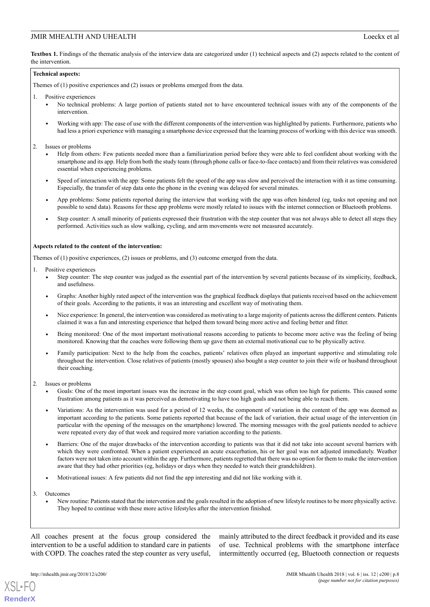<span id="page-7-0"></span>**Textbox 1.** Findings of the thematic analysis of the interview data are categorized under (1) technical aspects and (2) aspects related to the content of the intervention.

### **Technical aspects:**

Themes of (1) positive experiences and (2) issues or problems emerged from the data.

- 1. Positive experiences
	- No technical problems: A large portion of patients stated not to have encountered technical issues with any of the components of the intervention.
	- Working with app: The ease of use with the different components of the intervention was highlighted by patients. Furthermore, patients who had less a priori experience with managing a smartphone device expressed that the learning process of working with this device was smooth.
- 2. Issues or problems
	- Help from others: Few patients needed more than a familiarization period before they were able to feel confident about working with the smartphone and its app. Help from both the study team (through phone calls or face-to-face contacts) and from their relatives was considered essential when experiencing problems.
	- Speed of interaction with the app: Some patients felt the speed of the app was slow and perceived the interaction with it as time consuming. Especially, the transfer of step data onto the phone in the evening was delayed for several minutes.
	- App problems: Some patients reported during the interview that working with the app was often hindered (eg, tasks not opening and not possible to send data). Reasons for these app problems were mostly related to issues with the internet connection or Bluetooth problems.
	- Step counter: A small minority of patients expressed their frustration with the step counter that was not always able to detect all steps they performed. Activities such as slow walking, cycling, and arm movements were not measured accurately.

### **Aspects related to the content of the intervention:**

Themes of (1) positive experiences, (2) issues or problems, and (3) outcome emerged from the data.

- 1. Positive experiences
	- Step counter: The step counter was judged as the essential part of the intervention by several patients because of its simplicity, feedback, and usefulness.
	- Graphs: Another highly rated aspect of the intervention was the graphical feedback displays that patients received based on the achievement of their goals. According to the patients, it was an interesting and excellent way of motivating them.
	- Nice experience: In general, the intervention was considered as motivating to a large majority of patients across the different centers. Patients claimed it was a fun and interesting experience that helped them toward being more active and feeling better and fitter.
	- Being monitored: One of the most important motivational reasons according to patients to become more active was the feeling of being monitored. Knowing that the coaches were following them up gave them an external motivational cue to be physically active.
	- Family participation: Next to the help from the coaches, patients' relatives often played an important supportive and stimulating role throughout the intervention. Close relatives of patients (mostly spouses) also bought a step counter to join their wife or husband throughout their coaching.
- 2. Issues or problems
	- Goals: One of the most important issues was the increase in the step count goal, which was often too high for patients. This caused some frustration among patients as it was perceived as demotivating to have too high goals and not being able to reach them.
	- Variations: As the intervention was used for a period of 12 weeks, the component of variation in the content of the app was deemed as important according to the patients. Some patients reported that because of the lack of variation, their actual usage of the intervention (in particular with the opening of the messages on the smartphone) lowered. The morning messages with the goal patients needed to achieve were repeated every day of that week and required more variation according to the patients.
	- Barriers: One of the major drawbacks of the intervention according to patients was that it did not take into account several barriers with which they were confronted. When a patient experienced an acute exacerbation, his or her goal was not adjusted immediately. Weather factors were not taken into account within the app. Furthermore, patients regretted that there was no option for them to make the intervention aware that they had other priorities (eg, holidays or days when they needed to watch their grandchildren).
	- Motivational issues: A few patients did not find the app interesting and did not like working with it.
- 3. Outcomes

[XSL](http://www.w3.org/Style/XSL)•FO **[RenderX](http://www.renderx.com/)**

• New routine: Patients stated that the intervention and the goals resulted in the adoption of new lifestyle routines to be more physically active. They hoped to continue with these more active lifestyles after the intervention finished.

All coaches present at the focus group considered the intervention to be a useful addition to standard care in patients with COPD. The coaches rated the step counter as very useful,

mainly attributed to the direct feedback it provided and its ease of use. Technical problems with the smartphone interface intermittently occurred (eg, Bluetooth connection or requests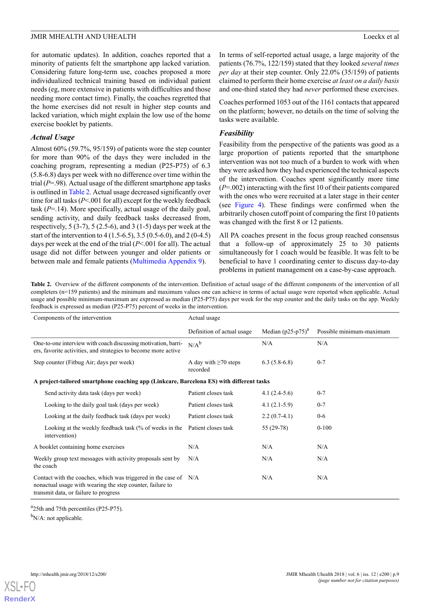for automatic updates). In addition, coaches reported that a minority of patients felt the smartphone app lacked variation. Considering future long-term use, coaches proposed a more individualized technical training based on individual patient needs (eg, more extensive in patients with difficulties and those needing more contact time). Finally, the coaches regretted that the home exercises did not result in higher step counts and lacked variation, which might explain the low use of the home exercise booklet by patients.

# *Actual Usage*

Almost 60% (59.7%, 95/159) of patients wore the step counter for more than 90% of the days they were included in the coaching program, representing a median (P25-P75) of 6.3 (5.8-6.8) days per week with no difference over time within the trial (*P*=.98). Actual usage of the different smartphone app tasks is outlined in [Table 2](#page-8-0). Actual usage decreased significantly over time for all tasks (*P*<.001 for all) except for the weekly feedback task  $(P=14)$ . More specifically, actual usage of the daily goal, sending activity, and daily feedback tasks decreased from, respectively,  $5(3-7)$ ,  $5(2.5-6)$ , and  $3(1-5)$  days per week at the start of the intervention to 4 (1.5-6.5), 3.5 (0.5-6.0), and 2 (0-4.5) days per week at the end of the trial (*P*<.001 for all). The actual usage did not differ between younger and older patients or between male and female patients ([Multimedia Appendix 9\)](#page-15-9).

In terms of self-reported actual usage, a large majority of the patients (76.7%, 122/159) stated that they looked *several times per day* at their step counter. Only 22.0% (35/159) of patients claimed to perform their home exercise *at least on a daily basis* and one-third stated they had *never* performed these exercises.

Coaches performed 1053 out of the 1161 contacts that appeared on the platform; however, no details on the time of solving the tasks were available.

# *Feasibility*

Feasibility from the perspective of the patients was good as a large proportion of patients reported that the smartphone intervention was not too much of a burden to work with when they were asked how they had experienced the technical aspects of the intervention. Coaches spent significantly more time (*P*=.002) interacting with the first 10 of their patients compared with the ones who were recruited at a later stage in their center (see [Figure 4](#page-9-0)). These findings were confirmed when the arbitrarily chosen cutoff point of comparing the first 10 patients was changed with the first 8 or 12 patients.

All PA coaches present in the focus group reached consensus that a follow-up of approximately 25 to 30 patients simultaneously for 1 coach would be feasible. It was felt to be beneficial to have 1 coordinating center to discuss day-to-day problems in patient management on a case-by-case approach.

<span id="page-8-0"></span>Table 2. Overview of the different components of the intervention. Definition of actual usage of the different components of the intervention of all completers (n=159 patients) and the minimum and maximum values one can achieve in terms of actual usage were reported when applicable. Actual usage and possible minimum-maximum are expressed as median (P25-P75) days per week for the step counter and the daily tasks on the app. Weekly feedback is expressed as median (P25-P75) percent of weeks in the intervention.

| Components of the intervention                                                                                                                                         | Actual usage                           |                      |                          |
|------------------------------------------------------------------------------------------------------------------------------------------------------------------------|----------------------------------------|----------------------|--------------------------|
|                                                                                                                                                                        | Definition of actual usage             | Median $(p25-p75)^a$ | Possible minimum-maximum |
| One-to-one interview with coach discussing motivation, barri-<br>ers, favorite activities, and strategies to become more active                                        | $N/A^b$                                | N/A                  | N/A                      |
| Step counter (Fitbug Air; days per week)                                                                                                                               | A day with $\geq 70$ steps<br>recorded | $6.3(5.8-6.8)$       | $0 - 7$                  |
| A project-tailored smartphone coaching app (Linkcare, Barcelona ES) with different tasks                                                                               |                                        |                      |                          |
| Send activity data task (days per week)                                                                                                                                | Patient closes task                    | $4.1(2.4-5.6)$       | $0 - 7$                  |
| Looking to the daily goal task (days per week)                                                                                                                         | Patient closes task                    | $4.1(2.1-5.9)$       | $0 - 7$                  |
| Looking at the daily feedback task (days per week)                                                                                                                     | Patient closes task                    | $2.2(0.7-4.1)$       | $0-6$                    |
| Looking at the weekly feedback task (% of weeks in the<br>intervention)                                                                                                | Patient closes task                    | 55 (29-78)           | $0 - 100$                |
| A booklet containing home exercises                                                                                                                                    | N/A                                    | N/A                  | N/A                      |
| Weekly group text messages with activity proposals sent by<br>the coach                                                                                                | N/A                                    | N/A                  | N/A                      |
| Contact with the coaches, which was triggered in the case of N/A<br>nonactual usage with wearing the step counter, failure to<br>transmit data, or failure to progress |                                        | N/A                  | N/A                      |

<sup>a</sup>25th and 75th percentiles (P25-P75).

 $b_{N/A}$ : not applicable.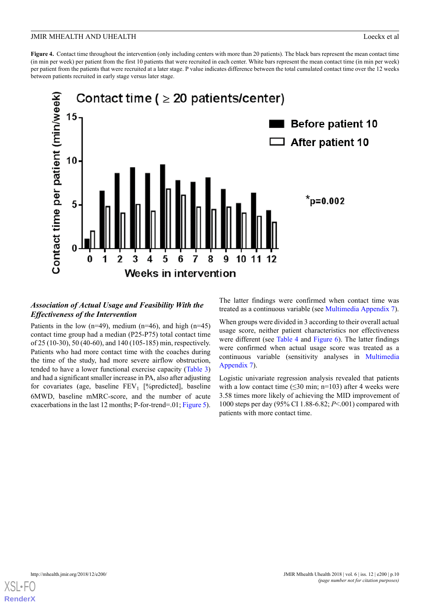<span id="page-9-0"></span>**Figure 4.** Contact time throughout the intervention (only including centers with more than 20 patients). The black bars represent the mean contact time (in min per week) per patient from the first 10 patients that were recruited in each center. White bars represent the mean contact time (in min per week) per patient from the patients that were recruited at a later stage. P value indicates difference between the total cumulated contact time over the 12 weeks between patients recruited in early stage versus later stage.



# *Association of Actual Usage and Feasibility With the Effectiveness of the Intervention*

Patients in the low  $(n=49)$ , medium  $(n=46)$ , and high  $(n=45)$ contact time group had a median (P25-P75) total contact time of 25 (10-30), 50 (40-60), and 140 (105-185) min, respectively. Patients who had more contact time with the coaches during the time of the study, had more severe airflow obstruction, tended to have a lower functional exercise capacity [\(Table 3](#page-10-0)) and had a significant smaller increase in PA, also after adjusting for covariates (age, baseline  $FEV_1$  [%predicted], baseline 6MWD, baseline mMRC-score, and the number of acute exacerbations in the last 12 months; P-for-trend=.01; [Figure 5\)](#page-10-1).

The latter findings were confirmed when contact time was treated as a continuous variable (see [Multimedia Appendix 7\)](#page-15-7).

When groups were divided in 3 according to their overall actual usage score, neither patient characteristics nor effectiveness were different (see [Table 4](#page-11-0) and [Figure 6](#page-11-1)). The latter findings were confirmed when actual usage score was treated as a continuous variable (sensitivity analyses in [Multimedia](#page-15-7) [Appendix 7\)](#page-15-7).

Logistic univariate regression analysis revealed that patients with a low contact time  $(\leq 30 \text{ min}; \text{ n} = 103)$  after 4 weeks were 3.58 times more likely of achieving the MID improvement of 1000 steps per day (95% CI 1.88-6.82; *P*<.001) compared with patients with more contact time.

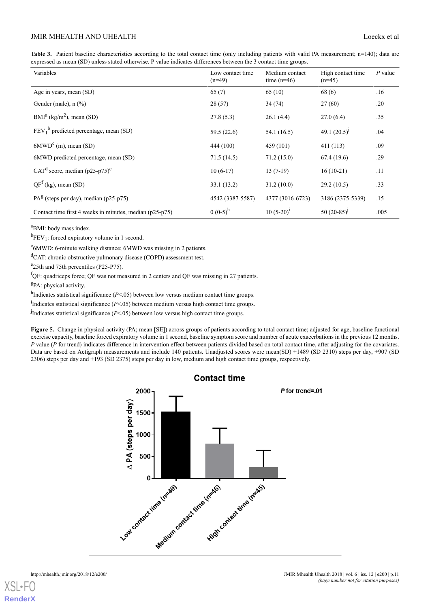<span id="page-10-0"></span>**Table 3.** Patient baseline characteristics according to the total contact time (only including patients with valid PA measurement; n=140); data are expressed as mean (SD) unless stated otherwise. P value indicates differences between the 3 contact time groups.

| Variables                                               | Low contact time<br>$(n=49)$ | Medium contact<br>time $(n=46)$ | High contact time<br>$(n=45)$ | $P$ value |
|---------------------------------------------------------|------------------------------|---------------------------------|-------------------------------|-----------|
| Age in years, mean (SD)                                 | 65(7)                        | 65 (10)                         | 68(6)                         | .16       |
| Gender (male), $n$ $(\%)$                               | 28(57)                       | 34 (74)                         | 27(60)                        | .20       |
| $BMIa (kg/m2)$ , mean (SD)                              | 27.8(5.3)                    | 26.1(4.4)                       | 27.0(6.4)                     | .35       |
| $FEV_1^b$ predicted percentage, mean (SD)               | 59.5 (22.6)                  | 54.1 (16.5)                     | 49.1 $(20.5)^{j}$             | .04       |
| $6MWD^c$ (m), mean (SD)                                 | 444 (100)                    | 459 (101)                       | 411 (113)                     | .09       |
| 6MWD predicted percentage, mean (SD)                    | 71.5(14.5)                   | 71.2(15.0)                      | 67.4(19.6)                    | .29       |
| CAT <sup>d</sup> score, median (p25-p75) <sup>e</sup>   | $10(6-17)$                   | $13(7-19)$                      | $16(10-21)$                   | .11       |
| $QFf$ (kg), mean (SD)                                   | 33.1(13.2)                   | 31.2(10.0)                      | 29.2(10.5)                    | .33       |
| $PA^{g}$ (steps per day), median (p25-p75)              | 4542 (3387-5587)             | 4377 (3016-6723)                | 3186 (2375-5339)              | .15       |
| Contact time first 4 weeks in minutes, median (p25-p75) | $0(0-5)^h$                   | $10(5-20)^1$                    | 50 $(20-85)^{j}$              | .005      |

<sup>a</sup>BMI: body mass index.

 ${}^{b}$ FEV<sub>1</sub>: forced expiratory volume in 1 second.

<sup>c</sup>6MWD: 6-minute walking distance; 6MWD was missing in 2 patients.

<sup>d</sup>CAT: chronic obstructive pulmonary disease (COPD) assessment test.

<sup>e</sup> 25th and 75th percentiles (P25-P75).

 ${}^{f}$ QF: quadriceps force; QF was not measured in 2 centers and QF was missing in 27 patients.

<sup>g</sup>PA: physical activity.

<span id="page-10-1"></span>h<sub>Indicates statistical significance (*P*<.05) between low versus medium contact time groups.</sub>

<sup>i</sup>Indicates statistical significance (*P*<.05) between medium versus high contact time groups.

<sup>j</sup>Indicates statistical significance (*P*<.05) between low versus high contact time groups.

**Figure 5.** Change in physical activity (PA; mean [SE]) across groups of patients according to total contact time; adjusted for age, baseline functional exercise capacity, baseline forced expiratory volume in 1 second, baseline symptom score and number of acute exacerbations in the previous 12 months. *P* value (*P* for trend) indicates difference in intervention effect between patients divided based on total contact time, after adjusting for the covariates. Data are based on Actigraph measurements and include 140 patients. Unadjusted scores were mean(SD) +1489 (SD 2310) steps per day, +907 (SD 2306) steps per day and +193 (SD 2375) steps per day in low, medium and high contact time groups, respectively.



 $XS$ l • FC **[RenderX](http://www.renderx.com/)**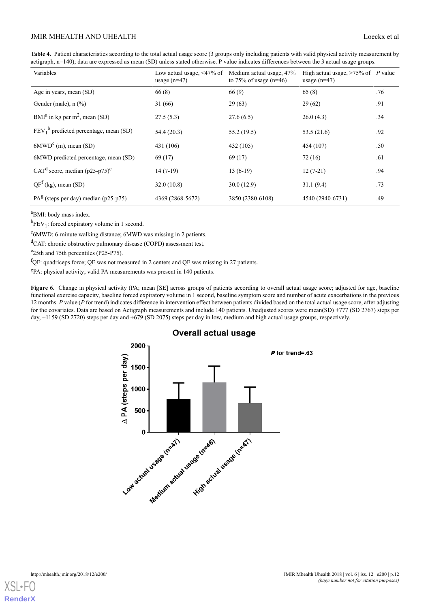<span id="page-11-0"></span>

| Table 4. Patient characteristics according to the total actual usage score (3 groups only including patients with valid physical activity measurement by |  |
|----------------------------------------------------------------------------------------------------------------------------------------------------------|--|
| actigraph, n=140); data are expressed as mean (SD) unless stated otherwise. P value indicates differences between the 3 actual usage groups.             |  |

| Variables                                    | Low actual usage, $\leq 47\%$ of<br>usage $(n=47)$ | Medium actual usage, 47%<br>to 75% of usage $(n=46)$ | High actual usage, $>75\%$ of P value<br>usage $(n=47)$ |     |
|----------------------------------------------|----------------------------------------------------|------------------------------------------------------|---------------------------------------------------------|-----|
| Age in years, mean (SD)                      | 66(8)                                              | 66(9)                                                | 65(8)                                                   | .76 |
| Gender (male), $n$ $(\%)$                    | 31(66)                                             | 29(63)                                               | 29(62)                                                  | .91 |
| $BMIa$ in kg per m <sup>2</sup> , mean (SD)  | 27.5(5.3)                                          | 27.6(6.5)                                            | 26.0(4.3)                                               | .34 |
| $FEV_1^b$ predicted percentage, mean (SD)    | 54.4 (20.3)                                        | 55.2(19.5)                                           | 53.5 $(21.6)$                                           | .92 |
| $6MWD^c$ (m), mean (SD)                      | 431 (106)                                          | 432 (105)                                            | 454 (107)                                               | .50 |
| 6MWD predicted percentage, mean (SD)         | 69(17)                                             | 69(17)                                               | 72(16)                                                  | .61 |
| CAT <sup>d</sup> score, median $(p25-p75)^e$ | $14(7-19)$                                         | $13(6-19)$                                           | $12(7-21)$                                              | .94 |
| $QFf$ (kg), mean (SD)                        | 32.0(10.8)                                         | 30.0(12.9)                                           | 31.1(9.4)                                               | .73 |
| $PA^{g}$ (steps per day) median (p25-p75)    | 4369 (2868-5672)                                   | 3850 (2380-6108)                                     | 4540 (2940-6731)                                        | .49 |

<sup>a</sup>BMI: body mass index.

 ${}^{b}$ FEV<sub>1</sub>: forced expiratory volume in 1 second.

<sup>c</sup>6MWD: 6-minute walking distance; 6MWD was missing in 2 patients.

<sup>d</sup>CAT: chronic obstructive pulmonary disease (COPD) assessment test.

<sup>e</sup>25th and 75th percentiles (P25-P75).

<span id="page-11-1"></span><sup>f</sup>QF: quadriceps force; QF was not measured in 2 centers and QF was missing in 27 patients.

<sup>g</sup>PA: physical activity; valid PA measurements was present in 140 patients.

Figure 6. Change in physical activity (PA; mean [SE] across groups of patients according to overall actual usage score; adjusted for age, baseline functional exercise capacity, baseline forced expiratory volume in 1 second, baseline symptom score and number of acute exacerbations in the previous 12 months. *P* value (*P* for trend) indicates difference in intervention effect between patients divided based on the total actual usage score, after adjusting for the covariates. Data are based on Actigraph measurements and include 140 patients. Unadjusted scores were mean(SD) +777 (SD 2767) steps per day, +1159 (SD 2720) steps per day and +679 (SD 2075) steps per day in low, medium and high actual usage groups, respectively.

# **Overall actual usage**



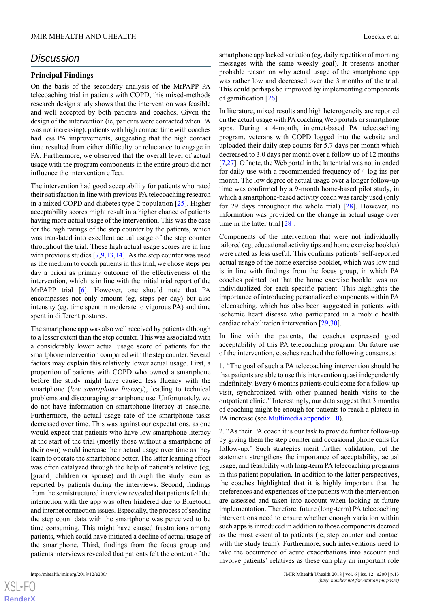# *Discussion*

## **Principal Findings**

On the basis of the secondary analysis of the MrPAPP PA telecoaching trial in patients with COPD, this mixed-methods research design study shows that the intervention was feasible and well accepted by both patients and coaches. Given the design of the intervention (ie, patients were contacted when PA was not increasing), patients with high contact time with coaches had less PA improvements, suggesting that the high contact time resulted from either difficulty or reluctance to engage in PA. Furthermore, we observed that the overall level of actual usage with the program components in the entire group did not influence the intervention effect.

The intervention had good acceptability for patients who rated their satisfaction in line with previous PA telecoaching research in a mixed COPD and diabetes type-2 population [[25\]](#page-17-1). Higher acceptability scores might result in a higher chance of patients having more actual usage of the intervention. This was the case for the high ratings of the step counter by the patients, which was translated into excellent actual usage of the step counter throughout the trial. These high actual usage scores are in line with previous studies [\[7](#page-16-10),[9,](#page-16-6)[13](#page-16-11),[14\]](#page-16-12). As the step counter was used as the medium to coach patients in this trial, we chose steps per day a priori as primary outcome of the effectiveness of the intervention, which is in line with the initial trial report of the MrPAPP trial [\[6](#page-16-4)]. However, one should note that PA encompasses not only amount (eg, steps per day) but also intensity (eg, time spent in moderate to vigorous PA) and time spent in different postures.

The smartphone app was also well received by patients although to a lesser extent than the step counter. This was associated with a considerably lower actual usage score of patients for the smartphone intervention compared with the step counter. Several factors may explain this relatively lower actual usage. First, a proportion of patients with COPD who owned a smartphone before the study might have caused less fluency with the smartphone (*low smartphone literacy*), leading to technical problems and discouraging smartphone use. Unfortunately, we do not have information on smartphone literacy at baseline. Furthermore, the actual usage rate of the smartphone tasks decreased over time. This was against our expectations, as one would expect that patients who have low smartphone literacy at the start of the trial (mostly those without a smartphone of their own) would increase their actual usage over time as they learn to operate the smartphone better. The latter learning effect was often catalyzed through the help of patient's relative (eg, [grand] children or spouse) and through the study team as reported by patients during the interviews. Second, findings from the semistructured interview revealed that patients felt the interaction with the app was often hindered due to Bluetooth and internet connection issues. Especially, the process of sending the step count data with the smartphone was perceived to be time consuming. This might have caused frustrations among patients, which could have initiated a decline of actual usage of the smartphone. Third, findings from the focus group and patients interviews revealed that patients felt the content of the

 $XS$ -FO **[RenderX](http://www.renderx.com/)** smartphone app lacked variation (eg, daily repetition of morning messages with the same weekly goal). It presents another probable reason on why actual usage of the smartphone app was rather low and decreased over the 3 months of the trial. This could perhaps be improved by implementing components of gamification [[26\]](#page-17-2).

In literature, mixed results and high heterogeneity are reported on the actual usage with PA coaching Web portals or smartphone apps. During a 4-month, internet-based PA telecoaching program, veterans with COPD logged into the website and uploaded their daily step counts for 5.7 days per month which decreased to 3.0 days per month over a follow-up of 12 months [[7](#page-16-10)[,27](#page-17-3)]. Of note, the Web portal in the latter trial was not intended for daily use with a recommended frequency of 4 log-ins per month. The low degree of actual usage over a longer follow-up time was confirmed by a 9-month home-based pilot study, in which a smartphone-based activity coach was rarely used (only for 29 days throughout the whole trial) [\[28](#page-17-4)]. However, no information was provided on the change in actual usage over time in the latter trial [[28\]](#page-17-4).

Components of the intervention that were not individually tailored (eg, educational activity tips and home exercise booklet) were rated as less useful. This confirms patients' self-reported actual usage of the home exercise booklet, which was low and is in line with findings from the focus group, in which PA coaches pointed out that the home exercise booklet was not individualized for each specific patient. This highlights the importance of introducing personalized components within PA telecoaching, which has also been suggested in patients with ischemic heart disease who participated in a mobile health cardiac rehabilitation intervention [[29](#page-17-5)[,30](#page-17-6)].

In line with the patients, the coaches expressed good acceptability of this PA telecoaching program. On future use of the intervention, coaches reached the following consensus:

1. "The goal of such a PA telecoaching intervention should be that patients are able to use this intervention quasi independently indefinitely. Every 6 months patients could come for a follow-up visit, synchronized with other planned health visits to the outpatient clinic." Interestingly, our data suggest that 3 months of coaching might be enough for patients to reach a plateau in PA increase (see [Multimedia appendix 10](#page-15-10)).

2. "As their PA coach it is our task to provide further follow-up by giving them the step counter and occasional phone calls for follow-up." Such strategies merit further validation, but the statement strengthens the importance of acceptability, actual usage, and feasibility with long-term PA telecoaching programs in this patient population. In addition to the latter perspectives, the coaches highlighted that it is highly important that the preferences and experiences of the patients with the intervention are assessed and taken into account when looking at future implementation. Therefore, future (long-term) PA telecoaching interventions need to ensure whether enough variation within such apps is introduced in addition to those components deemed as the most essential to patients (ie, step counter and contact with the study team). Furthermore, such interventions need to take the occurrence of acute exacerbations into account and involve patients' relatives as these can play an important role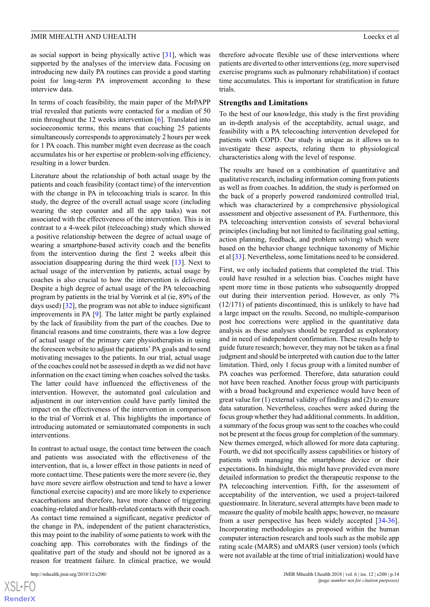as social support in being physically active [\[31](#page-17-7)], which was supported by the analyses of the interview data. Focusing on introducing new daily PA routines can provide a good starting point for long-term PA improvement according to these interview data.

In terms of coach feasibility, the main paper of the MrPAPP trial revealed that patients were contacted for a median of 50 min throughout the 12 weeks intervention [[6\]](#page-16-4). Translated into socioeconomic terms, this means that coaching 25 patients simultaneously corresponds to approximately 2 hours per week for 1 PA coach. This number might even decrease as the coach accumulates his or her expertise or problem-solving efficiency, resulting in a lower burden.

Literature about the relationship of both actual usage by the patients and coach feasibility (contact time) of the intervention with the change in PA in telecoaching trials is scarce. In this study, the degree of the overall actual usage score (including wearing the step counter and all the app tasks) was not associated with the effectiveness of the intervention. This is in contrast to a 4-week pilot (telecoaching) study which showed a positive relationship between the degree of actual usage of wearing a smartphone-based activity coach and the benefits from the intervention during the first 2 weeks albeit this association disappearing during the third week [\[13](#page-16-11)]. Next to actual usage of the intervention by patients, actual usage by coaches is also crucial to how the intervention is delivered. Despite a high degree of actual usage of the PA telecoaching program by patients in the trial by Vorrink et al (ie, 89% of the days used) [\[32](#page-17-8)], the program was not able to induce significant improvements in PA [[9\]](#page-16-6). The latter might be partly explained by the lack of feasibility from the part of the coaches. Due to financial reasons and time constraints, there was a low degree of actual usage of the primary care physiotherapists in using the foreseen website to adjust the patients' PA goals and to send motivating messages to the patients. In our trial, actual usage of the coaches could not be assessed in depth as we did not have information on the exact timing when coaches solved the tasks. The latter could have influenced the effectiveness of the intervention. However, the automated goal calculation and adjustment in our intervention could have partly limited the impact on the effectiveness of the intervention in comparison to the trial of Vorrink et al. This highlights the importance of introducing automated or semiautomated components in such interventions.

In contrast to actual usage, the contact time between the coach and patients was associated with the effectiveness of the intervention, that is, a lower effect in those patients in need of more contact time. These patients were the more severe (ie, they have more severe airflow obstruction and tend to have a lower functional exercise capacity) and are more likely to experience exacerbations and therefore, have more chance of triggering coaching-related and/or health-related contacts with their coach. As contact time remained a significant, negative predictor of the change in PA, independent of the patient characteristics, this may point to the inability of some patients to work with the coaching app. This corroborates with the findings of the qualitative part of the study and should not be ignored as a reason for treatment failure. In clinical practice, we would

[XSL](http://www.w3.org/Style/XSL)•FO **[RenderX](http://www.renderx.com/)** therefore advocate flexible use of these interventions where patients are diverted to other interventions (eg, more supervised exercise programs such as pulmonary rehabilitation) if contact time accumulates. This is important for stratification in future trials.

### **Strengths and Limitations**

To the best of our knowledge, this study is the first providing an in-depth analysis of the acceptability, actual usage, and feasibility with a PA telecoaching intervention developed for patients with COPD. Our study is unique as it allows us to investigate these aspects, relating them to physiological characteristics along with the level of response.

The results are based on a combination of quantitative and qualitative research, including information coming from patients as well as from coaches. In addition, the study is performed on the back of a properly powered randomized controlled trial, which was characterized by a comprehensive physiological assessment and objective assessment of PA. Furthermore, this PA telecoaching intervention consists of several behavioral principles (including but not limited to facilitating goal setting, action planning, feedback, and problem solving) which were based on the behavior change technique taxonomy of Michie et al [\[33](#page-17-9)]. Nevertheless, some limitations need to be considered.

First, we only included patients that completed the trial. This could have resulted in a selection bias. Coaches might have spent more time in those patients who subsequently dropped out during their intervention period. However, as only 7% (12/171) of patients discontinued, this is unlikely to have had a large impact on the results. Second, no multiple-comparison post hoc corrections were applied in the quantitative data analysis as these analyses should be regarded as exploratory and in need of independent confirmation. These results help to guide future research; however, they may not be taken as a final judgment and should be interpreted with caution due to the latter limitation. Third, only 1 focus group with a limited number of PA coaches was performed. Therefore, data saturation could not have been reached. Another focus group with participants with a broad background and experience would have been of great value for (1) external validity of findings and (2) to ensure data saturation. Nevertheless, coaches were asked during the focus group whether they had additional comments. In addition, a summary of the focus group was sent to the coaches who could not be present at the focus group for completion of the summary. New themes emerged, which allowed for more data capturing. Fourth, we did not specifically assess capabilities or history of patients with managing the smartphone device or their expectations. In hindsight, this might have provided even more detailed information to predict the therapeutic response to the PA telecoaching intervention. Fifth, for the assessment of acceptability of the intervention, we used a project-tailored questionnaire. In literature, several attempts have been made to measure the quality of mobile health apps; however, no measure from a user perspective has been widely accepted [[34-](#page-17-10)[36\]](#page-17-11). Incorporating methodologies as proposed within the human computer interaction research and tools such as the mobile app rating scale (MARS) and uMARS (user version) tools (which were not available at the time of trial initialization) would have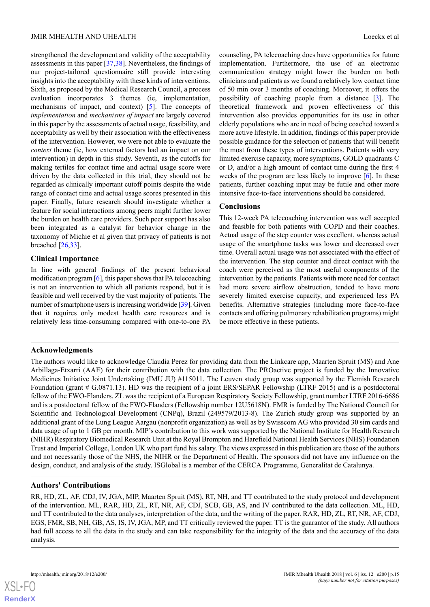strengthened the development and validity of the acceptability assessments in this paper [\[37](#page-17-12),[38\]](#page-17-13). Nevertheless, the findings of our project-tailored questionnaire still provide interesting insights into the acceptability with these kinds of interventions. Sixth, as proposed by the Medical Research Council, a process evaluation incorporates 3 themes (ie, implementation, mechanisms of impact, and context) [\[5](#page-16-3)]. The concepts of *implementation* and *mechanisms of impact* are largely covered in this paper by the assessments of actual usage, feasibility, and acceptability as well by their association with the effectiveness of the intervention. However, we were not able to evaluate the *context* theme (ie, how external factors had an impact on our intervention) in depth in this study. Seventh, as the cutoffs for making tertiles for contact time and actual usage score were driven by the data collected in this trial, they should not be regarded as clinically important cutoff points despite the wide range of contact time and actual usage scores presented in this paper. Finally, future research should investigate whether a feature for social interactions among peers might further lower the burden on health care providers. Such peer support has also been integrated as a catalyst for behavior change in the taxonomy of Michie et al given that privacy of patients is not breached [\[26](#page-17-2),[33\]](#page-17-9).

# **Clinical Importance**

In line with general findings of the present behavioral modification program [\[6\]](#page-16-4), this paper shows that PA telecoaching is not an intervention to which all patients respond, but it is feasible and well received by the vast majority of patients. The number of smartphone users is increasing worldwide [\[39](#page-17-14)]. Given that it requires only modest health care resources and is relatively less time-consuming compared with one-to-one PA

counseling, PA telecoaching does have opportunities for future implementation. Furthermore, the use of an electronic communication strategy might lower the burden on both clinicians and patients as we found a relatively low contact time of 50 min over 3 months of coaching. Moreover, it offers the possibility of coaching people from a distance [\[3](#page-16-1)]. The theoretical framework and proven effectiveness of this intervention also provides opportunities for its use in other elderly populations who are in need of being coached toward a more active lifestyle. In addition, findings of this paper provide possible guidance for the selection of patients that will benefit the most from these types of interventions. Patients with very limited exercise capacity, more symptoms, GOLD quadrants C or D, and/or a high amount of contact time during the first 4 weeks of the program are less likely to improve [[6\]](#page-16-4). In these patients, further coaching input may be futile and other more intensive face-to-face interventions should be considered.

# **Conclusions**

This 12-week PA telecoaching intervention was well accepted and feasible for both patients with COPD and their coaches. Actual usage of the step counter was excellent, whereas actual usage of the smartphone tasks was lower and decreased over time. Overall actual usage was not associated with the effect of the intervention. The step counter and direct contact with the coach were perceived as the most useful components of the intervention by the patients. Patients with more need for contact had more severe airflow obstruction, tended to have more severely limited exercise capacity, and experienced less PA benefits. Alternative strategies (including more face-to-face contacts and offering pulmonary rehabilitation programs) might be more effective in these patients.

# **Acknowledgments**

The authors would like to acknowledge Claudia Perez for providing data from the Linkcare app, Maarten Spruit (MS) and Ane Arbillaga-Etxarri (AAE) for their contribution with the data collection. The PROactive project is funded by the Innovative Medicines Initiative Joint Undertaking (IMU JU) #115011. The Leuven study group was supported by the Flemish Research Foundation (grant # G.0871.13). HD was the recipient of a joint ERS/SEPAR Fellowship (LTRF 2015) and is a postdoctoral fellow of the FWO-Flanders. ZL was the recipient of a European Respiratory Society Fellowship, grant number LTRF 2016-6686 and is a postdoctoral fellow of the FWO-Flanders (Fellowship number 12U5618N). FMR is funded by The National Council for Scientific and Technological Development (CNPq), Brazil (249579/2013-8). The Zurich study group was supported by an additional grant of the Lung League Aargau (nonprofit organization) as well as by Swisscom AG who provided 30 sim cards and data usage of up to 1 GB per month. MIP's contribution to this work was supported by the National Institute for Health Research (NIHR) Respiratory Biomedical Research Unit at the Royal Brompton and Harefield National Health Services (NHS) Foundation Trust and Imperial College, London UK who part fund his salary. The views expressed in this publication are those of the authors and not necessarily those of the NHS, the NIHR or the Department of Health. The sponsors did not have any influence on the design, conduct, and analysis of the study. ISGlobal is a member of the CERCA Programme, Generalitat de Catalunya.

# **Authors' Contributions**

RR, HD, ZL, AF, CDJ, IV, JGA, MIP, Maarten Spruit (MS), RT, NH, and TT contributed to the study protocol and development of the intervention. ML, RAR, HD, ZL, RT, NR, AF, CDJ, SCB, GB, AS, and IV contributed to the data collection. ML, HD, and TT contributed to the data analyses, interpretation of the data, and the writing of the paper. RAR, HD, ZL, RT, NR, AF, CDJ, EGS, FMR, SB, NH, GB, AS, IS, IV, JGA, MP, and TT critically reviewed the paper. TT is the guarantor of the study. All authors had full access to all the data in the study and can take responsibility for the integrity of the data and the accuracy of the data analysis.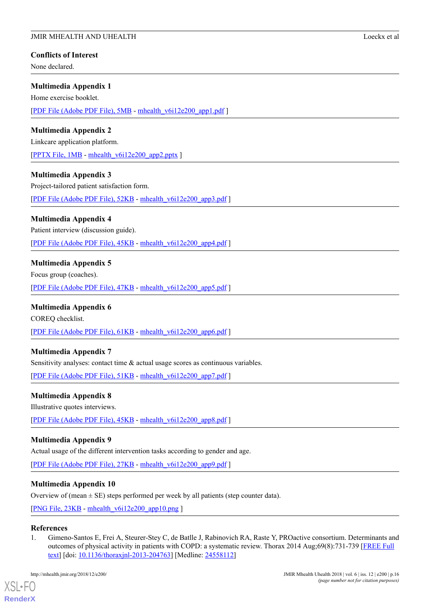# **Conflicts of Interest**

None declared.

# <span id="page-15-1"></span>**Multimedia Appendix 1**

Home exercise booklet.

<span id="page-15-2"></span>[[PDF File \(Adobe PDF File\), 5MB](https://mhealth.jmir.org/article/downloadSuppFile/9774/76281) - [mhealth\\_v6i12e200\\_app1.pdf](https://mhealth.jmir.org/article/downloadSuppFile/9774/76281) ]

# **Multimedia Appendix 2**

Linkcare application platform.

<span id="page-15-3"></span>[[PPTX File, 1MB](https://mhealth.jmir.org/article/downloadSuppFile/9774/68169) - [mhealth\\_v6i12e200\\_app2.pptx](https://mhealth.jmir.org/article/downloadSuppFile/9774/68169) ]

# **Multimedia Appendix 3**

Project-tailored patient satisfaction form.

<span id="page-15-4"></span>[[PDF File \(Adobe PDF File\), 52KB](https://mhealth.jmir.org/article/downloadSuppFile/9774/68170) - [mhealth\\_v6i12e200\\_app3.pdf](https://mhealth.jmir.org/article/downloadSuppFile/9774/68170) ]

# **Multimedia Appendix 4**

Patient interview (discussion guide).

<span id="page-15-5"></span>[[PDF File \(Adobe PDF File\), 45KB](https://mhealth.jmir.org/article/downloadSuppFile/9774/68171) - [mhealth\\_v6i12e200\\_app4.pdf](https://mhealth.jmir.org/article/downloadSuppFile/9774/68171) ]

# **Multimedia Appendix 5**

<span id="page-15-6"></span>Focus group (coaches).

[[PDF File \(Adobe PDF File\), 47KB](https://mhealth.jmir.org/article/downloadSuppFile/9774/68172) - [mhealth\\_v6i12e200\\_app5.pdf](https://mhealth.jmir.org/article/downloadSuppFile/9774/68172) ]

# **Multimedia Appendix 6**

<span id="page-15-7"></span>COREQ checklist.

[[PDF File \(Adobe PDF File\), 61KB](https://mhealth.jmir.org/article/downloadSuppFile/9774/83312) - [mhealth\\_v6i12e200\\_app6.pdf](https://mhealth.jmir.org/article/downloadSuppFile/9774/83312) ]

# <span id="page-15-8"></span>**Multimedia Appendix 7**

Sensitivity analyses: contact time  $\&$  actual usage scores as continuous variables.

[[PDF File \(Adobe PDF File\), 51KB](https://mhealth.jmir.org/article/downloadSuppFile/9774/83321) - [mhealth\\_v6i12e200\\_app7.pdf](https://mhealth.jmir.org/article/downloadSuppFile/9774/83321) ]

# <span id="page-15-9"></span>**Multimedia Appendix 8**

Illustrative quotes interviews.

[[PDF File \(Adobe PDF File\), 45KB](https://mhealth.jmir.org/article/downloadSuppFile/9774/83313) - [mhealth\\_v6i12e200\\_app8.pdf](https://mhealth.jmir.org/article/downloadSuppFile/9774/83313) ]

# <span id="page-15-10"></span>**Multimedia Appendix 9**

Actual usage of the different intervention tasks according to gender and age.

[[PDF File \(Adobe PDF File\), 27KB](https://mhealth.jmir.org/article/downloadSuppFile/9774/83314) - [mhealth\\_v6i12e200\\_app9.pdf](https://mhealth.jmir.org/article/downloadSuppFile/9774/83314) ]

# <span id="page-15-0"></span>**Multimedia Appendix 10**

Overview of (mean  $\pm$  SE) steps performed per week by all patients (step counter data).

[[PNG File, 23KB](https://mhealth.jmir.org/article/downloadSuppFile/9774/68173) - [mhealth\\_v6i12e200\\_app10.png](https://mhealth.jmir.org/article/downloadSuppFile/9774/68173) ]

# **References**

[XSL](http://www.w3.org/Style/XSL)•FO **[RenderX](http://www.renderx.com/)**

1. Gimeno-Santos E, Frei A, Steurer-Stey C, de Batlle J, Rabinovich RA, Raste Y, PROactive consortium. Determinants and outcomes of physical activity in patients with COPD: a systematic review. Thorax 2014 Aug;69(8):731-739 [[FREE Full](http://thorax.bmj.com/cgi/pmidlookup?view=long&pmid=24558112) [text\]](http://thorax.bmj.com/cgi/pmidlookup?view=long&pmid=24558112) [doi: [10.1136/thoraxjnl-2013-204763](http://dx.doi.org/10.1136/thoraxjnl-2013-204763)] [Medline: [24558112\]](http://www.ncbi.nlm.nih.gov/entrez/query.fcgi?cmd=Retrieve&db=PubMed&list_uids=24558112&dopt=Abstract)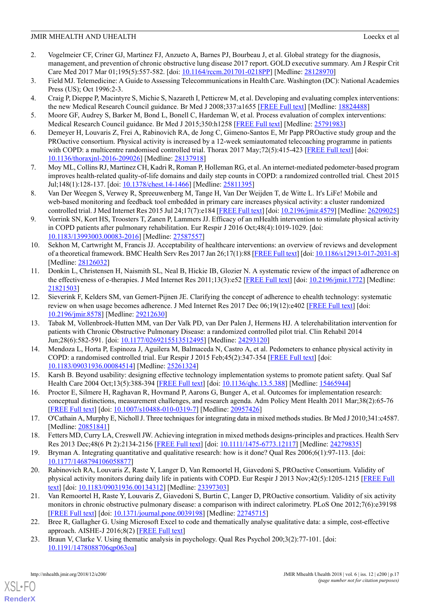- <span id="page-16-0"></span>2. Vogelmeier CF, Criner GJ, Martinez FJ, Anzueto A, Barnes PJ, Bourbeau J, et al. Global strategy for the diagnosis, management, and prevention of chronic obstructive lung disease 2017 report. GOLD executive summary. Am J Respir Crit Care Med 2017 Mar 01;195(5):557-582. [doi: [10.1164/rccm.201701-0218PP](http://dx.doi.org/10.1164/rccm.201701-0218PP)] [Medline: [28128970\]](http://www.ncbi.nlm.nih.gov/entrez/query.fcgi?cmd=Retrieve&db=PubMed&list_uids=28128970&dopt=Abstract)
- <span id="page-16-2"></span><span id="page-16-1"></span>3. Field MJ. Telemedicine: A Guide to Assessing Telecommunications in Health Care. Washington (DC): National Academies Press (US); Oct 1996:2-3.
- <span id="page-16-3"></span>4. Craig P, Dieppe P, Macintyre S, Michie S, Nazareth I, Petticrew M, et al. Developing and evaluating complex interventions: the new Medical Research Council guidance. Br Med J 2008;337:a1655 [\[FREE Full text\]](http://europepmc.org/abstract/MED/18824488) [Medline: [18824488\]](http://www.ncbi.nlm.nih.gov/entrez/query.fcgi?cmd=Retrieve&db=PubMed&list_uids=18824488&dopt=Abstract)
- <span id="page-16-4"></span>5. Moore GF, Audrey S, Barker M, Bond L, Bonell C, Hardeman W, et al. Process evaluation of complex interventions: Medical Research Council guidance. Br Med J 2015;350:h1258 [\[FREE Full text\]](http://europepmc.org/abstract/MED/25791983) [Medline: [25791983](http://www.ncbi.nlm.nih.gov/entrez/query.fcgi?cmd=Retrieve&db=PubMed&list_uids=25791983&dopt=Abstract)]
- 6. Demeyer H, Louvaris Z, Frei A, Rabinovich RA, de Jong C, Gimeno-Santos E, Mr Papp PROactive study group and the PROactive consortium. Physical activity is increased by a 12-week semiautomated telecoaching programme in patients with COPD: a multicentre randomised controlled trial. Thorax 2017 May;72(5):415-423 [\[FREE Full text\]](http://thorax.bmj.com/cgi/pmidlookup?view=long&pmid=28137918) [doi: [10.1136/thoraxjnl-2016-209026](http://dx.doi.org/10.1136/thoraxjnl-2016-209026)] [Medline: [28137918\]](http://www.ncbi.nlm.nih.gov/entrez/query.fcgi?cmd=Retrieve&db=PubMed&list_uids=28137918&dopt=Abstract)
- <span id="page-16-10"></span><span id="page-16-5"></span>7. Moy ML, Collins RJ, Martinez CH, Kadri R, Roman P, Holleman RG, et al. An internet-mediated pedometer-based program improves health-related quality-of-life domains and daily step counts in COPD: a randomized controlled trial. Chest 2015 Jul;148(1):128-137. [doi: [10.1378/chest.14-1466\]](http://dx.doi.org/10.1378/chest.14-1466) [Medline: [25811395](http://www.ncbi.nlm.nih.gov/entrez/query.fcgi?cmd=Retrieve&db=PubMed&list_uids=25811395&dopt=Abstract)]
- <span id="page-16-6"></span>8. Van Der Weegen S, Verwey R, Spreeuwenberg M, Tange H, Van Der Weijden T, de Witte L. It's LiFe! Mobile and web-based monitoring and feedback tool embedded in primary care increases physical activity: a cluster randomized controlled trial. J Med Internet Res 2015 Jul 24;17(7):e184 [\[FREE Full text\]](http://www.jmir.org/2015/7/e184/) [doi: [10.2196/jmir.4579\]](http://dx.doi.org/10.2196/jmir.4579) [Medline: [26209025](http://www.ncbi.nlm.nih.gov/entrez/query.fcgi?cmd=Retrieve&db=PubMed&list_uids=26209025&dopt=Abstract)]
- <span id="page-16-7"></span>9. Vorrink SN, Kort HS, Troosters T, Zanen P, Lammers JJ. Efficacy of an mHealth intervention to stimulate physical activity in COPD patients after pulmonary rehabilitation. Eur Respir J 2016 Oct;48(4):1019-1029. [doi: [10.1183/13993003.00083-2016](http://dx.doi.org/10.1183/13993003.00083-2016)] [Medline: [27587557\]](http://www.ncbi.nlm.nih.gov/entrez/query.fcgi?cmd=Retrieve&db=PubMed&list_uids=27587557&dopt=Abstract)
- <span id="page-16-8"></span>10. Sekhon M, Cartwright M, Francis JJ. Acceptability of healthcare interventions: an overview of reviews and development of a theoretical framework. BMC Health Serv Res 2017 Jan 26;17(1):88 [\[FREE Full text](https://bmchealthservres.biomedcentral.com/articles/10.1186/s12913-017-2031-8)] [doi: [10.1186/s12913-017-2031-8\]](http://dx.doi.org/10.1186/s12913-017-2031-8) [Medline: [28126032](http://www.ncbi.nlm.nih.gov/entrez/query.fcgi?cmd=Retrieve&db=PubMed&list_uids=28126032&dopt=Abstract)]
- <span id="page-16-9"></span>11. Donkin L, Christensen H, Naismith SL, Neal B, Hickie IB, Glozier N. A systematic review of the impact of adherence on the effectiveness of e-therapies. J Med Internet Res 2011;13(3):e52 [[FREE Full text](http://www.jmir.org/2011/3/e52/)] [doi: [10.2196/jmir.1772](http://dx.doi.org/10.2196/jmir.1772)] [Medline: [21821503](http://www.ncbi.nlm.nih.gov/entrez/query.fcgi?cmd=Retrieve&db=PubMed&list_uids=21821503&dopt=Abstract)]
- <span id="page-16-11"></span>12. Sieverink F, Kelders SM, van Gemert-Pijnen JE. Clarifying the concept of adherence to ehealth technology: systematic review on when usage becomes adherence. J Med Internet Res 2017 Dec 06:19(12):e402 [[FREE Full text](http://www.jmir.org/2017/12/e402/)] [doi: [10.2196/jmir.8578](http://dx.doi.org/10.2196/jmir.8578)] [Medline: [29212630](http://www.ncbi.nlm.nih.gov/entrez/query.fcgi?cmd=Retrieve&db=PubMed&list_uids=29212630&dopt=Abstract)]
- <span id="page-16-12"></span>13. Tabak M, Vollenbroek-Hutten MM, van Der Valk PD, van Der Palen J, Hermens HJ. A telerehabilitation intervention for patients with Chronic Obstructive Pulmonary Disease: a randomized controlled pilot trial. Clin Rehabil 2014 Jun;28(6):582-591. [doi: [10.1177/0269215513512495](http://dx.doi.org/10.1177/0269215513512495)] [Medline: [24293120\]](http://www.ncbi.nlm.nih.gov/entrez/query.fcgi?cmd=Retrieve&db=PubMed&list_uids=24293120&dopt=Abstract)
- <span id="page-16-14"></span><span id="page-16-13"></span>14. Mendoza L, Horta P, Espinoza J, Aguilera M, Balmaceda N, Castro A, et al. Pedometers to enhance physical activity in COPD: a randomised controlled trial. Eur Respir J 2015 Feb;45(2):347-354 [\[FREE Full text\]](http://erj.ersjournals.com/cgi/pmidlookup?view=long&pmid=25261324) [doi: [10.1183/09031936.00084514\]](http://dx.doi.org/10.1183/09031936.00084514) [Medline: [25261324\]](http://www.ncbi.nlm.nih.gov/entrez/query.fcgi?cmd=Retrieve&db=PubMed&list_uids=25261324&dopt=Abstract)
- <span id="page-16-15"></span>15. Karsh B. Beyond usability: designing effective technology implementation systems to promote patient safety. Qual Saf Health Care 2004 Oct;13(5):388-394 [\[FREE Full text\]](http://qhc.bmj.com/cgi/pmidlookup?view=long&pmid=15465944) [doi: [10.1136/qhc.13.5.388\]](http://dx.doi.org/10.1136/qhc.13.5.388) [Medline: [15465944](http://www.ncbi.nlm.nih.gov/entrez/query.fcgi?cmd=Retrieve&db=PubMed&list_uids=15465944&dopt=Abstract)]
- 16. Proctor E, Silmere H, Raghavan R, Hovmand P, Aarons G, Bunger A, et al. Outcomes for implementation research: conceptual distinctions, measurement challenges, and research agenda. Adm Policy Ment Health 2011 Mar;38(2):65-76 [[FREE Full text](http://europepmc.org/abstract/MED/20957426)] [doi: [10.1007/s10488-010-0319-7\]](http://dx.doi.org/10.1007/s10488-010-0319-7) [Medline: [20957426](http://www.ncbi.nlm.nih.gov/entrez/query.fcgi?cmd=Retrieve&db=PubMed&list_uids=20957426&dopt=Abstract)]
- <span id="page-16-17"></span><span id="page-16-16"></span>17. O'Cathain A, Murphy E, Nicholl J. Three techniques for integrating data in mixed methods studies. Br Med J 2010;341:c4587. [Medline: [20851841](http://www.ncbi.nlm.nih.gov/entrez/query.fcgi?cmd=Retrieve&db=PubMed&list_uids=20851841&dopt=Abstract)]
- 18. Fetters MD, Curry LA, Creswell JW. Achieving integration in mixed methods designs-principles and practices. Health Serv Res 2013 Dec;48(6 Pt 2):2134-2156 [\[FREE Full text\]](http://europepmc.org/abstract/MED/24279835) [doi: [10.1111/1475-6773.12117\]](http://dx.doi.org/10.1111/1475-6773.12117) [Medline: [24279835](http://www.ncbi.nlm.nih.gov/entrez/query.fcgi?cmd=Retrieve&db=PubMed&list_uids=24279835&dopt=Abstract)]
- <span id="page-16-18"></span>19. Bryman A. Integrating quantitative and qualitative research: how is it done? Qual Res 2006;6(1):97-113. [doi: [10.1177/1468794106058877](http://dx.doi.org/10.1177/1468794106058877)]
- <span id="page-16-19"></span>20. Rabinovich RA, Louvaris Z, Raste Y, Langer D, Van Remoortel H, Giavedoni S, PROactive Consortium. Validity of physical activity monitors during daily life in patients with COPD. Eur Respir J 2013 Nov;42(5):1205-1215 [\[FREE Full](http://erj.ersjournals.com/cgi/pmidlookup?view=long&pmid=23397303) [text\]](http://erj.ersjournals.com/cgi/pmidlookup?view=long&pmid=23397303) [doi: [10.1183/09031936.00134312](http://dx.doi.org/10.1183/09031936.00134312)] [Medline: [23397303\]](http://www.ncbi.nlm.nih.gov/entrez/query.fcgi?cmd=Retrieve&db=PubMed&list_uids=23397303&dopt=Abstract)
- <span id="page-16-20"></span>21. Van Remoortel H, Raste Y, Louvaris Z, Giavedoni S, Burtin C, Langer D, PROactive consortium. Validity of six activity monitors in chronic obstructive pulmonary disease: a comparison with indirect calorimetry. PLoS One 2012;7(6):e39198 [[FREE Full text](http://dx.plos.org/10.1371/journal.pone.0039198)] [doi: [10.1371/journal.pone.0039198](http://dx.doi.org/10.1371/journal.pone.0039198)] [Medline: [22745715](http://www.ncbi.nlm.nih.gov/entrez/query.fcgi?cmd=Retrieve&db=PubMed&list_uids=22745715&dopt=Abstract)]
- 22. Bree R, Gallagher G. Using Microsoft Excel to code and thematically analyse qualitative data: a simple, cost-effective approach. AISHE-J 2016;8(2) [[FREE Full text](http://ojs.aishe.org/index.php/aishe-j/article/view/281/467)]
- 23. Braun V, Clarke V. Using thematic analysis in psychology. Qual Res Psychol 200;3(2):77-101. [doi: [10.1191/1478088706qp063oa\]](http://dx.doi.org/10.1191/1478088706qp063oa)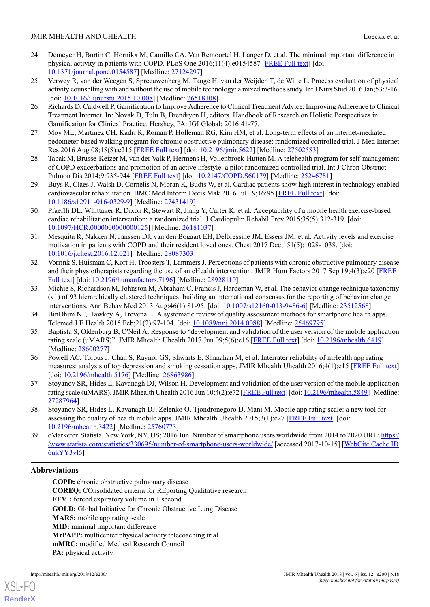- <span id="page-17-0"></span>24. Demeyer H, Burtin C, Hornikx M, Camillo CA, Van Remoortel H, Langer D, et al. The minimal important difference in physical activity in patients with COPD. PLoS One 2016;11(4):e0154587 [\[FREE Full text\]](http://dx.plos.org/10.1371/journal.pone.0154587) [doi: [10.1371/journal.pone.0154587\]](http://dx.doi.org/10.1371/journal.pone.0154587) [Medline: [27124297](http://www.ncbi.nlm.nih.gov/entrez/query.fcgi?cmd=Retrieve&db=PubMed&list_uids=27124297&dopt=Abstract)]
- <span id="page-17-1"></span>25. Verwey R, van der Weegen S, Spreeuwenberg M, Tange H, van der Weijden T, de Witte L. Process evaluation of physical activity counselling with and without the use of mobile technology: a mixed methods study. Int J Nurs Stud 2016 Jan;53:3-16. [doi: [10.1016/j.ijnurstu.2015.10.008\]](http://dx.doi.org/10.1016/j.ijnurstu.2015.10.008) [Medline: [26518108](http://www.ncbi.nlm.nih.gov/entrez/query.fcgi?cmd=Retrieve&db=PubMed&list_uids=26518108&dopt=Abstract)]
- <span id="page-17-3"></span><span id="page-17-2"></span>26. Richards D, Caldwell P. Gamification to Improve Adherence to Clinical Treatment Advice: Improving Adherence to Clinical Treatment Internet. In: Novak D, Tulu B, Brendryen H, editors. Handbook of Research on Holistic Perspectives in Gamification for Clinical Practice. Hershey, PA: IGI Global; 2016:41-77.
- <span id="page-17-4"></span>27. Moy ML, Martinez CH, Kadri R, Roman P, Holleman RG, Kim HM, et al. Long-term effects of an internet-mediated pedometer-based walking program for chronic obstructive pulmonary disease: randomized controlled trial. J Med Internet Res 2016 Aug 08;18(8):e215 [[FREE Full text](http://www.jmir.org/2016/8/e215/)] [doi: [10.2196/jmir.5622](http://dx.doi.org/10.2196/jmir.5622)] [Medline: [27502583\]](http://www.ncbi.nlm.nih.gov/entrez/query.fcgi?cmd=Retrieve&db=PubMed&list_uids=27502583&dopt=Abstract)
- <span id="page-17-5"></span>28. Tabak M, Brusse-Keizer M, van der Valk P, Hermens H, Vollenbroek-Hutten M. A telehealth program for self-management of COPD exacerbations and promotion of an active lifestyle: a pilot randomized controlled trial. Int J Chron Obstruct Pulmon Dis 2014;9:935-944 [\[FREE Full text\]](http://dx.doi.org/10.2147/COPD.S60179) [doi: [10.2147/COPD.S60179\]](http://dx.doi.org/10.2147/COPD.S60179) [Medline: [25246781\]](http://www.ncbi.nlm.nih.gov/entrez/query.fcgi?cmd=Retrieve&db=PubMed&list_uids=25246781&dopt=Abstract)
- <span id="page-17-6"></span>29. Buys R, Claes J, Walsh D, Cornelis N, Moran K, Budts W, et al. Cardiac patients show high interest in technology enabled cardiovascular rehabilitation. BMC Med Inform Decis Mak 2016 Jul 19;16:95 [\[FREE Full text\]](https://bmcmedinformdecismak.biomedcentral.com/articles/10.1186/s12911-016-0329-9) [doi: [10.1186/s12911-016-0329-9\]](http://dx.doi.org/10.1186/s12911-016-0329-9) [Medline: [27431419\]](http://www.ncbi.nlm.nih.gov/entrez/query.fcgi?cmd=Retrieve&db=PubMed&list_uids=27431419&dopt=Abstract)
- <span id="page-17-7"></span>30. Pfaeffli DL, Whittaker R, Dixon R, Stewart R, Jiang Y, Carter K, et al. Acceptability of a mobile health exercise-based cardiac rehabilitation intervention: a randomized trial. J Cardiopulm Rehabil Prev 2015;35(5):312-319. [doi: [10.1097/HCR.0000000000000125\]](http://dx.doi.org/10.1097/HCR.0000000000000125) [Medline: [26181037](http://www.ncbi.nlm.nih.gov/entrez/query.fcgi?cmd=Retrieve&db=PubMed&list_uids=26181037&dopt=Abstract)]
- <span id="page-17-8"></span>31. Mesquita R, Nakken N, Janssen DJ, van den Bogaart EH, Delbressine JM, Essers JM, et al. Activity levels and exercise motivation in patients with COPD and their resident loved ones. Chest 2017 Dec;151(5):1028-1038. [doi: [10.1016/j.chest.2016.12.021](http://dx.doi.org/10.1016/j.chest.2016.12.021)] [Medline: [28087303\]](http://www.ncbi.nlm.nih.gov/entrez/query.fcgi?cmd=Retrieve&db=PubMed&list_uids=28087303&dopt=Abstract)
- <span id="page-17-9"></span>32. Vorrink S, Huisman C, Kort H, Troosters T, Lammers J. Perceptions of patients with chronic obstructive pulmonary disease and their physiotherapists regarding the use of an eHealth intervention. JMIR Hum Factors 2017 Sep 19;4(3):e20 [[FREE](http://humanfactors.jmir.org/2017/3/e20/) [Full text](http://humanfactors.jmir.org/2017/3/e20/)] [doi: [10.2196/humanfactors.7196](http://dx.doi.org/10.2196/humanfactors.7196)] [Medline: [28928110\]](http://www.ncbi.nlm.nih.gov/entrez/query.fcgi?cmd=Retrieve&db=PubMed&list_uids=28928110&dopt=Abstract)
- <span id="page-17-10"></span>33. Michie S, Richardson M, Johnston M, Abraham C, Francis J, Hardeman W, et al. The behavior change technique taxonomy (v1) of 93 hierarchically clustered techniques: building an international consensus for the reporting of behavior change interventions. Ann Behav Med 2013 Aug;46(1):81-95. [doi: [10.1007/s12160-013-9486-6](http://dx.doi.org/10.1007/s12160-013-9486-6)] [Medline: [23512568\]](http://www.ncbi.nlm.nih.gov/entrez/query.fcgi?cmd=Retrieve&db=PubMed&list_uids=23512568&dopt=Abstract)
- <span id="page-17-11"></span>34. BinDhim NF, Hawkey A, Trevena L. A systematic review of quality assessment methods for smartphone health apps. Telemed J E Health 2015 Feb;21(2):97-104. [doi: [10.1089/tmj.2014.0088](http://dx.doi.org/10.1089/tmj.2014.0088)] [Medline: [25469795](http://www.ncbi.nlm.nih.gov/entrez/query.fcgi?cmd=Retrieve&db=PubMed&list_uids=25469795&dopt=Abstract)]
- 35. Baptista S, Oldenburg B, O'Neil A. Response to "development and validation of the user version of the mobile application rating scale (uMARS)". JMIR Mhealth Uhealth 2017 Jun 09;5(6):e16 [[FREE Full text](http://mhealth.jmir.org/2017/6/e16/)] [doi: [10.2196/mhealth.6419](http://dx.doi.org/10.2196/mhealth.6419)] [Medline: [28600277](http://www.ncbi.nlm.nih.gov/entrez/query.fcgi?cmd=Retrieve&db=PubMed&list_uids=28600277&dopt=Abstract)]
- <span id="page-17-13"></span><span id="page-17-12"></span>36. Powell AC, Torous J, Chan S, Raynor GS, Shwarts E, Shanahan M, et al. Interrater reliability of mHealth app rating measures: analysis of top depression and smoking cessation apps. JMIR Mhealth Uhealth 2016;4(1):e15 [[FREE Full text](http://mhealth.jmir.org/2016/1/e15/)] [doi: [10.2196/mhealth.5176\]](http://dx.doi.org/10.2196/mhealth.5176) [Medline: [26863986\]](http://www.ncbi.nlm.nih.gov/entrez/query.fcgi?cmd=Retrieve&db=PubMed&list_uids=26863986&dopt=Abstract)
- <span id="page-17-14"></span>37. Stoyanov SR, Hides L, Kavanagh DJ, Wilson H. Development and validation of the user version of the mobile application rating scale (uMARS). JMIR Mhealth Uhealth 2016 Jun 10;4(2):e72 [[FREE Full text\]](http://mhealth.jmir.org/2016/2/e72/) [doi: [10.2196/mhealth.5849\]](http://dx.doi.org/10.2196/mhealth.5849) [Medline: [27287964](http://www.ncbi.nlm.nih.gov/entrez/query.fcgi?cmd=Retrieve&db=PubMed&list_uids=27287964&dopt=Abstract)]
- 38. Stoyanov SR, Hides L, Kavanagh DJ, Zelenko O, Tjondronegoro D, Mani M. Mobile app rating scale: a new tool for assessing the quality of health mobile apps. JMIR Mhealth Uhealth  $2015;3(1):e27$  [\[FREE Full text\]](http://mhealth.jmir.org/2015/1/e27/) [doi: [10.2196/mhealth.3422](http://dx.doi.org/10.2196/mhealth.3422)] [Medline: [25760773](http://www.ncbi.nlm.nih.gov/entrez/query.fcgi?cmd=Retrieve&db=PubMed&list_uids=25760773&dopt=Abstract)]
- 39. eMarketer. Statista. New York, NY, US; 2016 Jun. Number of smartphone users worldwide from 2014 to 2020 URL: [https:/](https://www.statista.com/statistics/330695/number-of-smartphone-users-worldwide/) [/www.statista.com/statistics/330695/number-of-smartphone-users-worldwide/](https://www.statista.com/statistics/330695/number-of-smartphone-users-worldwide/) [accessed 2017-10-15] [[WebCite Cache ID](http://www.webcitation.org/6ukYY3vl6) [6ukYY3vl6\]](http://www.webcitation.org/6ukYY3vl6)

# **Abbreviations**

**COPD:** chronic obstructive pulmonary disease **COREQ:** COnsolidated criteria for REporting Qualitative research **FEV<sup>1</sup> :** forced expiratory volume in 1 second **GOLD:** Global Initiative for Chronic Obstructive Lung Disease **MARS:** mobile app rating scale **MID:** minimal important difference **MrPAPP:** multicenter physical activity telecoaching trial **mMRC:** modified Medical Research Council **PA:** physical activity